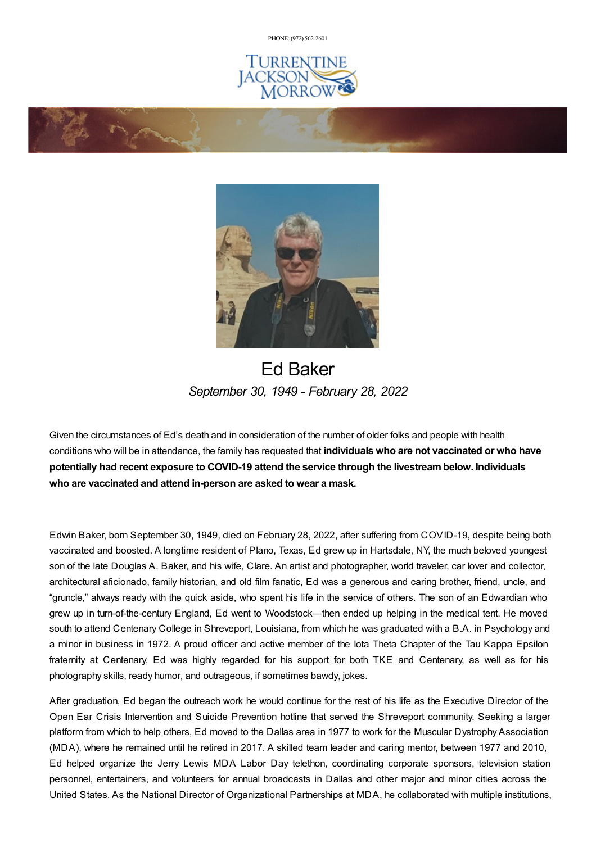PHONE: (972) [562-2601](tel:(972) 562-2601)







# Ed Baker *September 30, 1949 - February 28, 2022*

Given the circumstances of Ed's death and in consideration of the number of older folks and people with health conditions who will be in attendance, the family has requested that **individuals who are not vaccinated or who have potentially had recent exposure to COVID-19 attend the service through the livestreambelow. Individuals who are vaccinated and attend in-person are asked to wear a mask.**

Edwin Baker, born September 30, 1949, died on February 28, 2022, after suffering from COVID-19, despite being both vaccinated and boosted. A longtime resident of Plano, Texas, Ed grew up in Hartsdale, NY, the much beloved youngest son of the late Douglas A. Baker, and his wife, Clare. An artist and photographer, world traveler, car lover and collector, architectural aficionado, family historian, and old film fanatic, Ed was a generous and caring brother, friend, uncle, and "gruncle," always ready with the quick aside, who spent his life in the service of others. The son of an Edwardian who grew up in turn-of-the-century England, Ed went to Woodstock—then ended up helping in the medical tent. He moved south to attend Centenary College in Shreveport, Louisiana, from which he was graduated with a B.A. in Psychology and a minor in business in 1972. A proud officer and active member of the Iota Theta Chapter of the Tau Kappa Epsilon fraternity at Centenary, Ed was highly regarded for his support for both TKE and Centenary, as well as for his photography skills, ready humor, and outrageous, if sometimes bawdy, jokes.

After graduation, Ed began the outreach work he would continue for the rest of his life as the Executive Director of the Open Ear Crisis Intervention and Suicide Prevention hotline that served the Shreveport community. Seeking a larger platform from which to help others, Ed moved to the Dallas area in 1977 to work for the Muscular Dystrophy Association (MDA), where he remained until he retired in 2017. A skilled team leader and caring mentor, between 1977 and 2010, Ed helped organize the Jerry Lewis MDA Labor Day telethon, coordinating corporate sponsors, television station personnel, entertainers, and volunteers for annual broadcasts in Dallas and other major and minor cities across the United States. As the National Director of Organizational Partnerships at MDA, he collaborated with multiple institutions,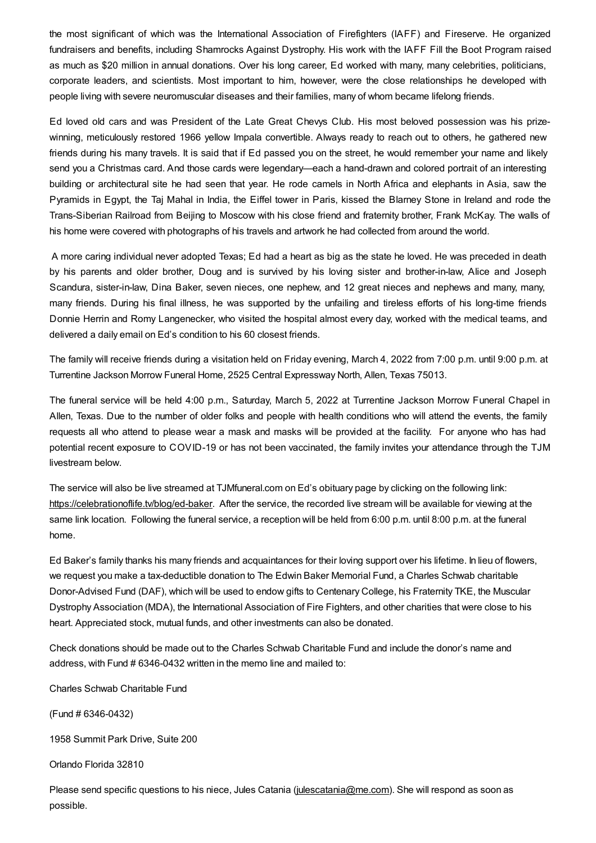the most significant of which was the International Association of Firefighters (IAFF) and Fireserve. He organized fundraisers and benefits, including Shamrocks Against Dystrophy. His work with the IAFF Fill the Boot Program raised as much as \$20 million in annual donations. Over his long career, Ed worked with many, many celebrities, politicians, corporate leaders, and scientists. Most important to him, however, were the close relationships he developed with people living with severe neuromuscular diseases and their families, many of whom became lifelong friends.

Ed loved old cars and was President of the Late Great Chevys Club. His most beloved possession was his prizewinning, meticulously restored 1966 yellow Impala convertible. Always ready to reach out to others, he gathered new friends during his many travels. It is said that if Ed passed you on the street, he would remember your name and likely send you a Christmas card. And those cards were legendary—each a hand-drawn and colored portrait of an interesting building or architectural site he had seen that year. He rode camels in North Africa and elephants in Asia, saw the Pyramids in Egypt, the Taj Mahal in India, the Eiffel tower in Paris, kissed the Blarney Stone in Ireland and rode the Trans-Siberian Railroad from Beijing to Moscow with his close friend and fraternity brother, Frank McKay. The walls of his home were covered with photographs of his travels and artwork he had collected from around the world.

A more caring individual never adopted Texas; Ed had a heart as big as the state he loved. He was preceded in death by his parents and older brother, Doug and is survived by his loving sister and brother-in-law, Alice and Joseph Scandura, sister-in-law, Dina Baker, seven nieces, one nephew, and 12 great nieces and nephews and many, many, many friends. During his final illness, he was supported by the unfailing and tireless efforts of his long-time friends Donnie Herrin and Romy Langenecker, who visited the hospital almost every day, worked with the medical teams, and delivered a daily email on Ed's condition to his 60 closest friends.

The family will receive friends during a visitation held on Friday evening, March 4, 2022 from 7:00 p.m. until 9:00 p.m. at Turrentine Jackson Morrow Funeral Home, 2525 Central Expressway North, Allen, Texas 75013.

The funeral service will be held 4:00 p.m., Saturday, March 5, 2022 at Turrentine Jackson Morrow Funeral Chapel in Allen, Texas. Due to the number of older folks and people with health conditions who will attend the events, the family requests all who attend to please wear a mask and masks will be provided at the facility. For anyone who has had potential recent exposure to COVID-19 or has not been vaccinated, the family invites your attendance through the TJM livestream below.

The service will also be live streamed at TJMfuneral.com on Ed's obituary page by clicking on the following link: <https://celebrationoflife.tv/blog/ed-baker>. After the service, the recorded live stream will be available for viewing at the same link location. Following the funeral service, a reception will be held from 6:00 p.m. until 8:00 p.m. at the funeral home.

Ed Baker's family thanks his many friends and acquaintances for their loving support over his lifetime. In lieu of flowers, we request you make a tax-deductible donation to The Edwin Baker Memorial Fund, a Charles Schwab charitable Donor-Advised Fund (DAF), which will be used to endow gifts to Centenary College, his Fraternity TKE, the Muscular Dystrophy Association (MDA), the International Association of Fire Fighters, and other charities that were close to his heart. Appreciated stock, mutual funds, and other investments can also be donated.

Check donations should be made out to the Charles Schwab Charitable Fund and include the donor's name and address, with Fund # 6346-0432 written in the memo line and mailed to:

Charles Schwab Charitable Fund

(Fund # 6346-0432)

1958 Summit Park Drive, Suite 200

Orlando Florida 32810

Please send specific questions to his niece, Jules Catania [\(julescatania@me.com](mailto:julescatania@me.com)). She will respond as soon as possible.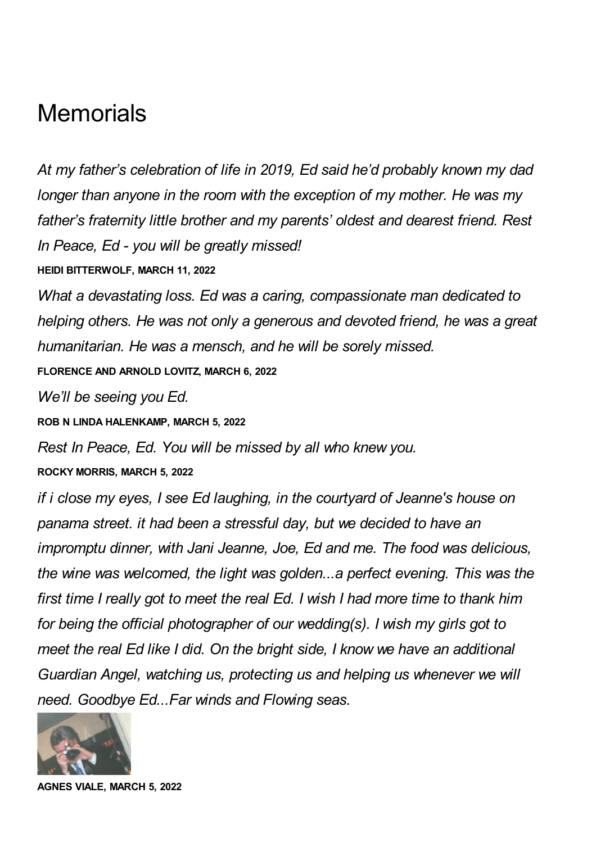# **Memorials**

*At my father's celebration of life in 2019, Ed said he'd probably known my dad longer than anyone in the room with the exception of my mother. He was my father's fraternity little brother and my parents' oldest and dearest friend. Rest In Peace, Ed - you will be greatly missed!* **HEIDI BITTERWOLF, MARCH 11, 2022**

*What a devastating loss. Ed was a caring, compassionate man dedicated to helping others. He was not only a generous and devoted friend, he was a great humanitarian. He was a mensch, and he will be sorely missed.*

**FLORENCE AND ARNOLD LOVITZ, MARCH 6, 2022**

*We'll be seeing you Ed.*

**ROB N LINDA HALENKAMP, MARCH 5, 2022**

*Rest In Peace, Ed. You will be missed by all who knew you.*

**ROCKY MORRIS, MARCH 5, 2022**

*if i close my eyes, I see Ed laughing, in the courtyard of Jeanne's house on panama street. it had been a stressful day, but we decided to have an impromptu dinner, with Jani Jeanne, Joe, Ed and me. The food was delicious, the wine was welcomed, the light was golden...a perfect evening. This was the first time I really got to meet the real Ed. I wish I had more time to thank him for being the official photographer of our wedding(s). I wish my girls got to meet the real Ed like I did. On the bright side, I know we have an additional Guardian Angel, watching us, protecting us and helping us whenever we will need. Goodbye Ed...Far winds and Flowing seas.*



**AGNES VIALE, MARCH 5, 2022**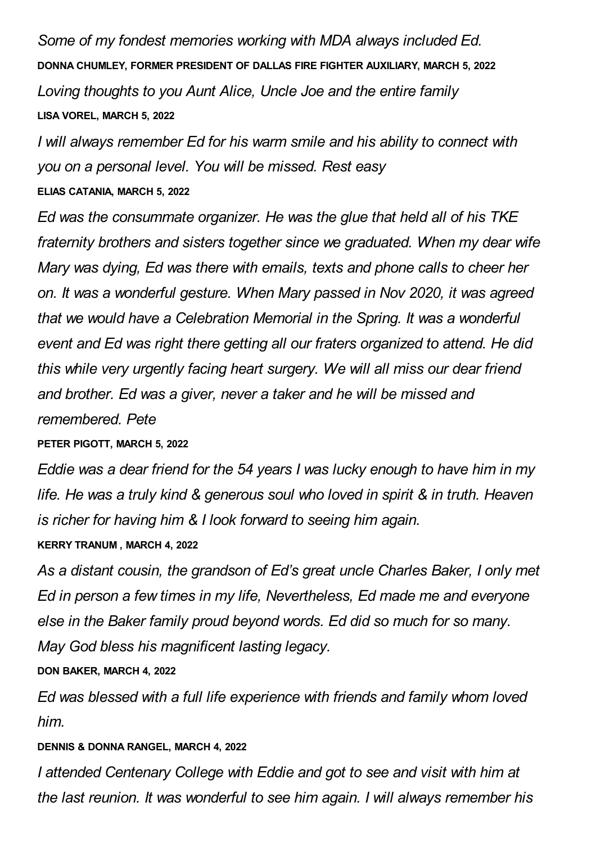*Some of my fondest memories working with MDA always included Ed.* **DONNA CHUMLEY, FORMER PRESIDENT OF DALLAS FIRE FIGHTER AUXILIARY, MARCH 5, 2022** *Loving thoughts to you Aunt Alice, Uncle Joe and the entire family* **LISA VOREL, MARCH 5, 2022**

*I will always remember Ed for his warm smile and his ability to connect with you on a personal level. You will be missed. Rest easy* **ELIAS CATANIA, MARCH 5, 2022**

*Ed was the consummate organizer. He was the glue that held all of his TKE fraternity brothers and sisters together since we graduated. When my dear wife Mary was dying, Ed was there with emails, texts and phone calls to cheer her on. It was a wonderful gesture. When Mary passed in Nov 2020, it was agreed that we would have a Celebration Memorial in the Spring. It was a wonderful event and Ed was right there getting all our fraters organized to attend. He did this while very urgently facing heart surgery. We will all miss our dear friend and brother. Ed was a giver, never a taker and he will be missed and remembered. Pete*

#### **PETER PIGOTT, MARCH 5, 2022**

*Eddie was a dear friend for the 54 years I was lucky enough to have him in my life. He was a truly kind & generous soul who loved in spirit & in truth. Heaven is richer for having him & I look forward to seeing him again.*

#### **KERRY TRANUM , MARCH 4, 2022**

*As a distant cousin, the grandson of Ed's great uncle Charles Baker, I only met Ed in person a few times in my life, Nevertheless, Ed made me and everyone else in the Baker family proud beyond words. Ed did so much for so many. May God bless his magnificent lasting legacy.*

#### **DON BAKER, MARCH 4, 2022**

*Ed was blessed with a full life experience with friends and family whom loved him.*

#### **DENNIS & DONNA RANGEL, MARCH 4, 2022**

*I attended Centenary College with Eddie and got to see and visit with him at the last reunion. It was wonderful to see him again. I will always remember his*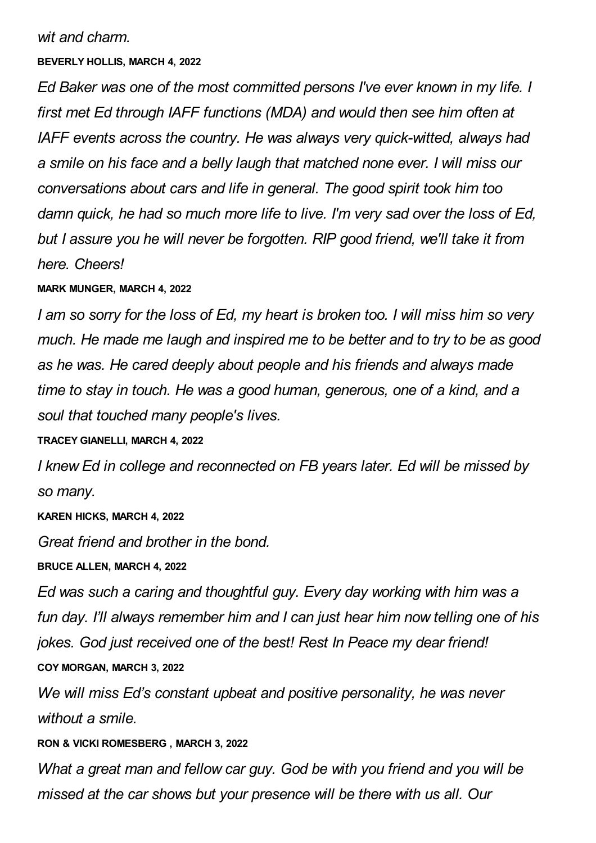*wit and charm.*

#### **BEVERLY HOLLIS, MARCH 4, 2022**

*Ed Baker was one of the most committed persons I've ever known in my life. I first met Ed through IAFF functions (MDA) and would then see him often at IAFF events across the country. He was always very quick-witted, always had a smile on his face and a belly laugh that matched none ever. I will miss our conversations about cars and life in general. The good spirit took him too damn quick, he had so much more life to live. I'm very sad over the loss of Ed, but I assure you he will never be forgotten. RIP good friend, we'll take it from here. Cheers!*

## **MARK MUNGER, MARCH 4, 2022**

*I am so sorry for the loss of Ed, my heart is broken too. I will miss him so very much. He made me laugh and inspired me to be better and to try to be as good as he was. He cared deeply about people and his friends and always made time to stay in touch. He was a good human, generous, one of a kind, and a soul that touched many people's lives.*

#### **TRACEY GIANELLI, MARCH 4, 2022**

*I knew Ed in college and reconnected on FB years later. Ed will be missed by so many.*

#### **KAREN HICKS, MARCH 4, 2022**

*Great friend and brother in the bond.*

#### **BRUCE ALLEN, MARCH 4, 2022**

*Ed was such a caring and thoughtful guy. Every day working with him was a fun day. I'll always remember him and I can just hear him now telling one of his jokes. God just received one of the best! Rest In Peace my dear friend!* **COY MORGAN, MARCH 3, 2022**

*We will miss Ed's constant upbeat and positive personality, he was never without a smile.*

## **RON & VICKI ROMESBERG , MARCH 3, 2022**

*What a great man and fellow car guy. God be with you friend and you will be missed at the car shows but your presence will be there with us all. Our*